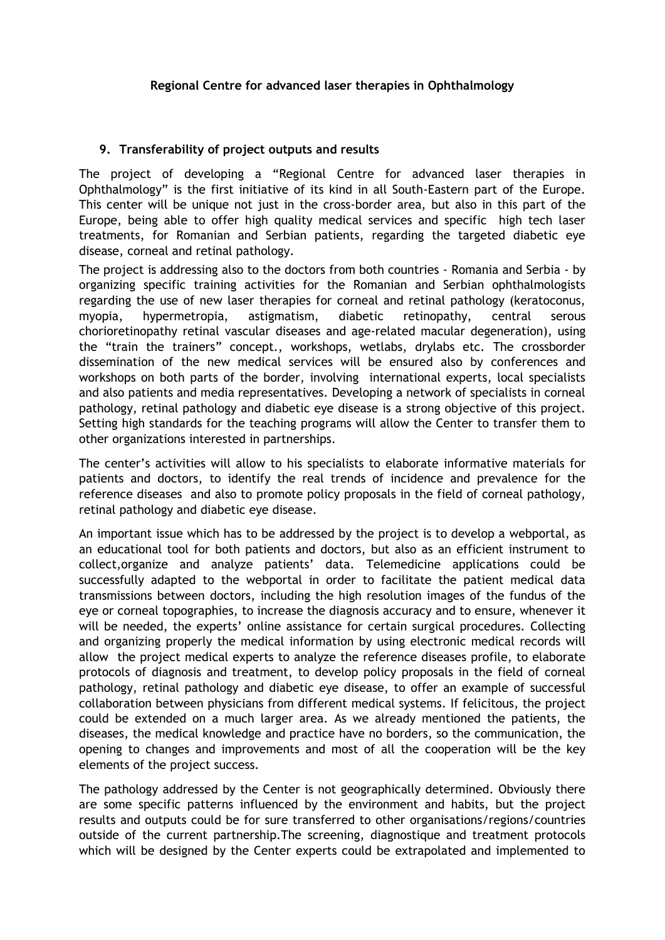## **9. Transferability of project outputs and results**

The project of developing a "Regional Centre for advanced laser therapies in Ophthalmology" is the first initiative of its kind in all South-Eastern part of the Europe. This center will be unique not just in the cross-border area, but also in this part of the Europe, being able to offer high quality medical services and specific high tech laser treatments, for Romanian and Serbian patients, regarding the targeted diabetic eye disease, corneal and retinal pathology.

The project is addressing also to the doctors from both countries - Romania and Serbia - by organizing specific training activities for the Romanian and Serbian ophthalmologists regarding the use of new laser therapies for corneal and retinal pathology (keratoconus, myopia, hypermetropia, astigmatism, diabetic retinopathy, central serous chorioretinopathy retinal vascular diseases and age-related macular degeneration), using the "train the trainers" concept., workshops, wetlabs, drylabs etc. The crossborder dissemination of the new medical services will be ensured also by conferences and workshops on both parts of the border, involving international experts, local specialists and also patients and media representatives. Developing a network of specialists in corneal pathology, retinal pathology and diabetic eye disease is a strong objective of this project. Setting high standards for the teaching programs will allow the Center to transfer them to other organizations interested in partnerships.

The center's activities will allow to his specialists to elaborate informative materials for patients and doctors, to identify the real trends of incidence and prevalence for the reference diseases and also to promote policy proposals in the field of corneal pathology, retinal pathology and diabetic eye disease.

An important issue which has to be addressed by the project is to develop a webportal, as an educational tool for both patients and doctors, but also as an efficient instrument to collect,organize and analyze patients' data. Telemedicine applications could be successfully adapted to the webportal in order to facilitate the patient medical data transmissions between doctors, including the high resolution images of the fundus of the eye or corneal topographies, to increase the diagnosis accuracy and to ensure, whenever it will be needed, the experts' online assistance for certain surgical procedures. Collecting and organizing properly the medical information by using electronic medical records will allow the project medical experts to analyze the reference diseases profile, to elaborate protocols of diagnosis and treatment, to develop policy proposals in the field of corneal pathology, retinal pathology and diabetic eye disease, to offer an example of successful collaboration between physicians from different medical systems. If felicitous, the project could be extended on a much larger area. As we already mentioned the patients, the diseases, the medical knowledge and practice have no borders, so the communication, the opening to changes and improvements and most of all the cooperation will be the key elements of the project success.

The pathology addressed by the Center is not geographically determined. Obviously there are some specific patterns influenced by the environment and habits, but the project results and outputs could be for sure transferred to other organisations/regions/countries outside of the current partnership.The screening, diagnostique and treatment protocols which will be designed by the Center experts could be extrapolated and implemented to